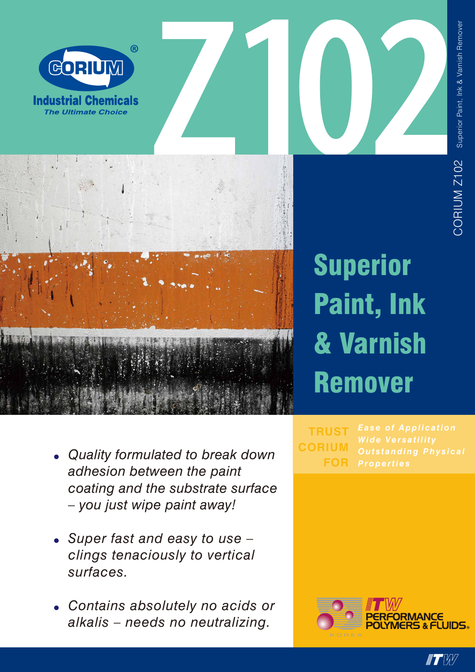



# Superior Paint, Ink & Varnish Remover

- *• Quality formulated to break down adhesion between the paint coating and the substrate surface – you just wipe paint away!*
- *• Super fast and easy to use – clings tenaciously to vertical surfaces.*
- *• Contains absolutely no acids or alkalis – needs no neutralizing.*

*Properties* **TRUST CORIUM FOR**



 $\blacksquare$